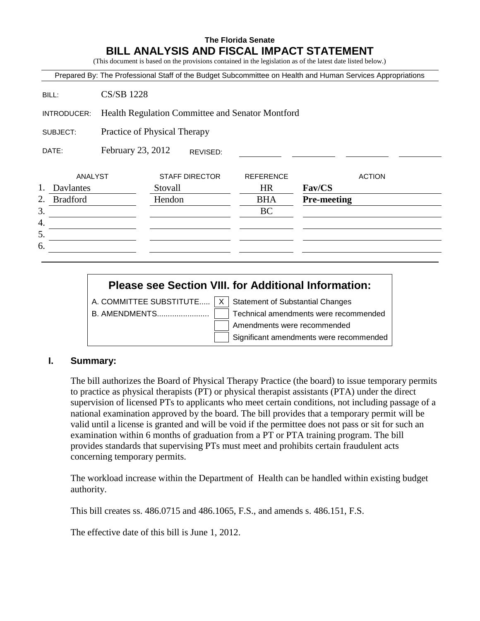# **The Florida Senate BILL ANALYSIS AND FISCAL IMPACT STATEMENT**

(This document is based on the provisions contained in the legislation as of the latest date listed below.)

Prepared By: The Professional Staff of the Budget Subcommittee on Health and Human Services Appropriations

BILL: CS/SB 1228

INTRODUCER: Health Regulation Committee and Senator Montford

SUBJECT: Practice of Physical Therapy

DATE: February 23, 2012 REVISED:

|    | ANALYST         | <b>STAFF DIRECTOR</b> | <b>REFERENCE</b> | <b>ACTION</b>      |
|----|-----------------|-----------------------|------------------|--------------------|
| 1. | Davlantes       | Stovall               | <b>HR</b>        | Fav/CS             |
| 2. | <b>Bradford</b> | Hendon                | <b>BHA</b>       | <b>Pre-meeting</b> |
| 3. |                 |                       | BC               |                    |
| 4. |                 |                       |                  |                    |
| 5. |                 |                       |                  |                    |
| 6. |                 |                       |                  |                    |
|    |                 |                       |                  |                    |

# **Please see Section VIII. for Additional Information:**

A. COMMITTEE SUBSTITUTE.....  $X \mid$  Statement of Substantial Changes

B. AMENDMENTS........................ Technical amendments were recommended Amendments were recommended Significant amendments were recommended

#### **I. Summary:**

The bill authorizes the Board of Physical Therapy Practice (the board) to issue temporary permits to practice as physical therapists (PT) or physical therapist assistants (PTA) under the direct supervision of licensed PTs to applicants who meet certain conditions, not including passage of a national examination approved by the board. The bill provides that a temporary permit will be valid until a license is granted and will be void if the permittee does not pass or sit for such an examination within 6 months of graduation from a PT or PTA training program. The bill provides standards that supervising PTs must meet and prohibits certain fraudulent acts concerning temporary permits.

The workload increase within the Department of Health can be handled within existing budget authority.

This bill creates ss. 486.0715 and 486.1065, F.S., and amends s. 486.151, F.S.

The effective date of this bill is June 1, 2012.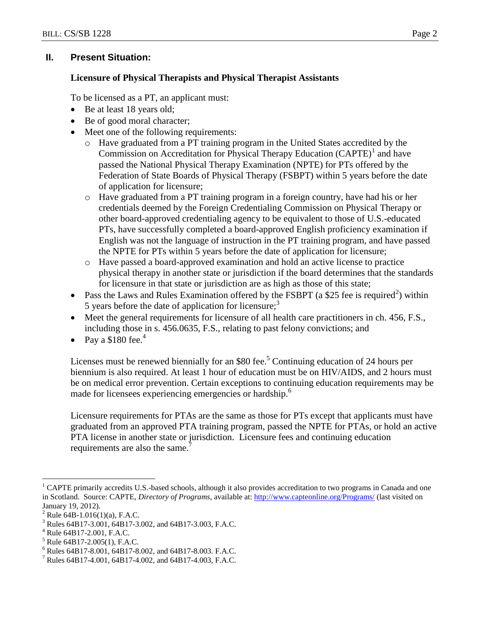# **II. Present Situation:**

# **Licensure of Physical Therapists and Physical Therapist Assistants**

To be licensed as a PT, an applicant must:

- Be at least 18 years old;
- Be of good moral character;
- Meet one of the following requirements:
	- o Have graduated from a PT training program in the United States accredited by the Commission on Accreditation for Physical Therapy Education  $(CAPTE)^1$  and have passed the National Physical Therapy Examination (NPTE) for PTs offered by the Federation of State Boards of Physical Therapy (FSBPT) within 5 years before the date of application for licensure;
	- o Have graduated from a PT training program in a foreign country, have had his or her credentials deemed by the Foreign Credentialing Commission on Physical Therapy or other board-approved credentialing agency to be equivalent to those of U.S.-educated PTs, have successfully completed a board-approved English proficiency examination if English was not the language of instruction in the PT training program, and have passed the NPTE for PTs within 5 years before the date of application for licensure;
	- o Have passed a board-approved examination and hold an active license to practice physical therapy in another state or jurisdiction if the board determines that the standards for licensure in that state or jurisdiction are as high as those of this state;
- Pass the Laws and Rules Examination offered by the FSBPT (a \$25 fee is required<sup>2</sup>) within 5 years before the date of application for licensure;<sup>3</sup>
- Meet the general requirements for licensure of all health care practitioners in ch. 456, F.S., including those in s. 456.0635, F.S., relating to past felony convictions; and
- Pay a  $$180$  fee.<sup>4</sup>

Licenses must be renewed biennially for an \$80 fee.<sup>5</sup> Continuing education of 24 hours per biennium is also required. At least 1 hour of education must be on HIV/AIDS, and 2 hours must be on medical error prevention. Certain exceptions to continuing education requirements may be made for licensees experiencing emergencies or hardship.<sup>6</sup>

Licensure requirements for PTAs are the same as those for PTs except that applicants must have graduated from an approved PTA training program, passed the NPTE for PTAs, or hold an active PTA license in another state or jurisdiction. Licensure fees and continuing education requirements are also the same.<sup>7</sup>

<sup>5</sup> Rule 64B17-2.005(1), F.A.C.

 $\overline{a}$ <sup>1</sup> CAPTE primarily accredits U.S.-based schools, although it also provides accreditation to two programs in Canada and one in Scotland. Source: CAPTE, *Directory of Programs*, available at:<http://www.capteonline.org/Programs/> (last visited on January 19, 2012).

<sup>&</sup>lt;sup>2</sup> Rule 64B-1.016(1)(a), F.A.C.<br><sup>3</sup> Bules 64B17, 2,001, 64B17, 2

<sup>3</sup> Rules 64B17-3.001, 64B17-3.002, and 64B17-3.003, F.A.C.

Rule 64B17-2.001, F.A.C.

<sup>6</sup> Rules 64B17-8.001, 64B17-8.002, and 64B17-8.003. F.A.C.

<sup>&</sup>lt;sup>7</sup> Rules 64B17-4.001, 64B17-4.002, and 64B17-4.003, F.A.C.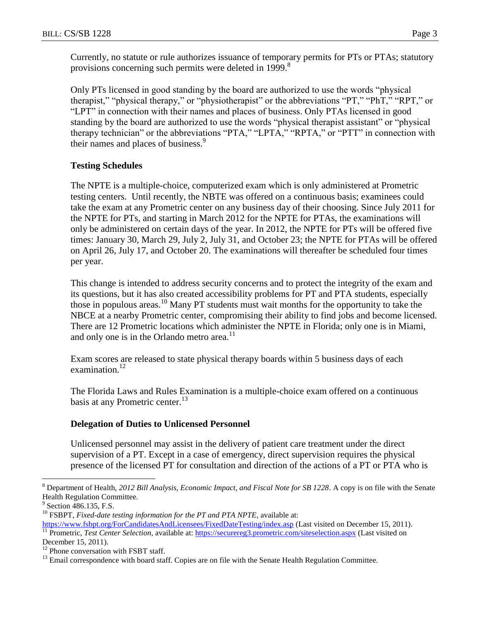Currently, no statute or rule authorizes issuance of temporary permits for PTs or PTAs; statutory provisions concerning such permits were deleted in 1999.<sup>8</sup>

Only PTs licensed in good standing by the board are authorized to use the words "physical therapist," "physical therapy," or "physiotherapist" or the abbreviations "PT," "PhT," "RPT," or "LPT" in connection with their names and places of business. Only PTAs licensed in good standing by the board are authorized to use the words "physical therapist assistant" or "physical therapy technician" or the abbreviations "PTA," "LPTA," "RPTA," or "PTT" in connection with their names and places of business.<sup>9</sup>

## **Testing Schedules**

The NPTE is a multiple-choice, computerized exam which is only administered at Prometric testing centers. Until recently, the NBTE was offered on a continuous basis; examinees could take the exam at any Prometric center on any business day of their choosing. Since July 2011 for the NPTE for PTs, and starting in March 2012 for the NPTE for PTAs, the examinations will only be administered on certain days of the year. In 2012, the NPTE for PTs will be offered five times: January 30, March 29, July 2, July 31, and October 23; the NPTE for PTAs will be offered on April 26, July 17, and October 20. The examinations will thereafter be scheduled four times per year.

This change is intended to address security concerns and to protect the integrity of the exam and its questions, but it has also created accessibility problems for PT and PTA students, especially those in populous areas.<sup>10</sup> Many PT students must wait months for the opportunity to take the NBCE at a nearby Prometric center, compromising their ability to find jobs and become licensed. There are 12 Prometric locations which administer the NPTE in Florida; only one is in Miami, and only one is in the Orlando metro area. $^{11}$ 

Exam scores are released to state physical therapy boards within 5 business days of each examination.<sup>12</sup>

The Florida Laws and Rules Examination is a multiple-choice exam offered on a continuous basis at any Prometric center.<sup>13</sup>

#### **Delegation of Duties to Unlicensed Personnel**

Unlicensed personnel may assist in the delivery of patient care treatment under the direct supervision of a PT. Except in a case of emergency, direct supervision requires the physical presence of the licensed PT for consultation and direction of the actions of a PT or PTA who is

 $\overline{a}$ 

<sup>8</sup> Department of Health, *2012 Bill Analysis, Economic Impact, and Fiscal Note for SB 1228*. A copy is on file with the Senate Health Regulation Committee.

<sup>&</sup>lt;sup>9</sup> Section 486.135, F.S.

<sup>&</sup>lt;sup>10</sup> FSBPT, *Fixed-date testing information for the PT and PTA NPTE*, available at: <https://www.fsbpt.org/ForCandidatesAndLicensees/FixedDateTesting/index.asp> (Last visited on December 15, 2011).

<sup>&</sup>lt;sup>11</sup> Prometric, *Test Center Selection*, available at:<https://securereg3.prometric.com/siteselection.aspx> (Last visited on December 15, 2011).

 $12$  Phone conversation with FSBT staff.

<sup>&</sup>lt;sup>13</sup> Email correspondence with board staff. Copies are on file with the Senate Health Regulation Committee.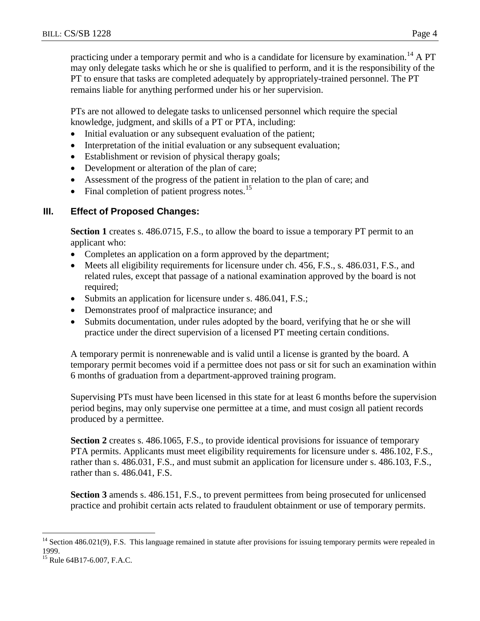practicing under a temporary permit and who is a candidate for licensure by examination.<sup>14</sup> A PT may only delegate tasks which he or she is qualified to perform, and it is the responsibility of the PT to ensure that tasks are completed adequately by appropriately-trained personnel. The PT remains liable for anything performed under his or her supervision.

PTs are not allowed to delegate tasks to unlicensed personnel which require the special knowledge, judgment, and skills of a PT or PTA, including:

- Initial evaluation or any subsequent evaluation of the patient;
- Interpretation of the initial evaluation or any subsequent evaluation;
- Establishment or revision of physical therapy goals;
- Development or alteration of the plan of care;
- Assessment of the progress of the patient in relation to the plan of care; and
- $\bullet$  Final completion of patient progress notes.<sup>15</sup>

# **III. Effect of Proposed Changes:**

**Section 1** creates s. 486.0715, F.S., to allow the board to issue a temporary PT permit to an applicant who:

- Completes an application on a form approved by the department;
- Meets all eligibility requirements for licensure under ch. 456, F.S., s. 486.031, F.S., and related rules, except that passage of a national examination approved by the board is not required;
- Submits an application for licensure under s. 486.041, F.S.;
- Demonstrates proof of malpractice insurance; and
- Submits documentation, under rules adopted by the board, verifying that he or she will practice under the direct supervision of a licensed PT meeting certain conditions.

A temporary permit is nonrenewable and is valid until a license is granted by the board. A temporary permit becomes void if a permittee does not pass or sit for such an examination within 6 months of graduation from a department-approved training program.

Supervising PTs must have been licensed in this state for at least 6 months before the supervision period begins, may only supervise one permittee at a time, and must cosign all patient records produced by a permittee.

**Section 2** creates s. 486.1065, F.S., to provide identical provisions for issuance of temporary PTA permits. Applicants must meet eligibility requirements for licensure under s. 486.102, F.S., rather than s. 486.031, F.S., and must submit an application for licensure under s. 486.103, F.S., rather than s. 486.041, F.S.

**Section 3** amends s. 486.151, F.S., to prevent permittees from being prosecuted for unlicensed practice and prohibit certain acts related to fraudulent obtainment or use of temporary permits.

 $\overline{a}$  $14$  Section 486.021(9), F.S. This language remained in statute after provisions for issuing temporary permits were repealed in 1999.

 $^{15}$  Rule 64B17-6.007, F.A.C.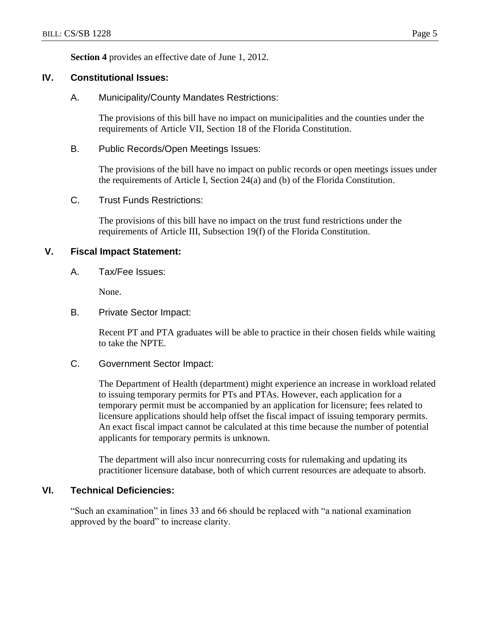**Section 4** provides an effective date of June 1, 2012.

#### **IV. Constitutional Issues:**

A. Municipality/County Mandates Restrictions:

The provisions of this bill have no impact on municipalities and the counties under the requirements of Article VII, Section 18 of the Florida Constitution.

B. Public Records/Open Meetings Issues:

The provisions of the bill have no impact on public records or open meetings issues under the requirements of Article I, Section 24(a) and (b) of the Florida Constitution.

C. Trust Funds Restrictions:

The provisions of this bill have no impact on the trust fund restrictions under the requirements of Article III, Subsection 19(f) of the Florida Constitution.

#### **V. Fiscal Impact Statement:**

A. Tax/Fee Issues:

None.

B. Private Sector Impact:

Recent PT and PTA graduates will be able to practice in their chosen fields while waiting to take the NPTE.

#### C. Government Sector Impact:

The Department of Health (department) might experience an increase in workload related to issuing temporary permits for PTs and PTAs. However, each application for a temporary permit must be accompanied by an application for licensure; fees related to licensure applications should help offset the fiscal impact of issuing temporary permits. An exact fiscal impact cannot be calculated at this time because the number of potential applicants for temporary permits is unknown.

The department will also incur nonrecurring costs for rulemaking and updating its practitioner licensure database, both of which current resources are adequate to absorb.

## **VI. Technical Deficiencies:**

"Such an examination" in lines 33 and 66 should be replaced with "a national examination approved by the board" to increase clarity.